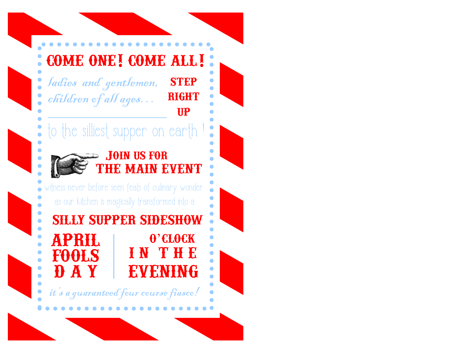# come one! come all!

ladies and gentlemen, children of all ages… **STEP RIGHT** 

## to the silliest supper on earth



#### Join us for the main event

up

witness never before seen feats of culinary wonder as our kitchen is magically transformed into a

silly supper sideshow  $\bullet$ april o'clock i n t h e fools d a y evening

it's a guaranteed four course fiasco!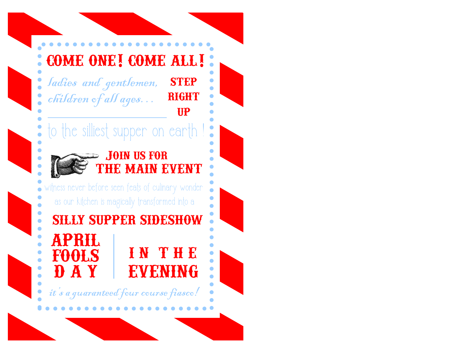# come one! come all!

ladies and gentlemen, children of all ages... **STEP RIGHT** 

## to the silliest supper on earth



#### Join us for the main event

up

witness never before seen feats of culinary wonder as our kitchen is magically transformed into a

april fools **DAY** silly supper sideshow i n t h e evening

it's a guaranteed four course fiasco!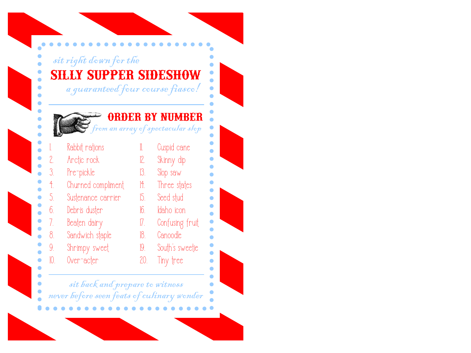| <b>SILLY SUPPER SIDESHOW</b><br>a guaranteed four course fiasco!<br>ORDER BY NUMBER<br>om an array of spectacular slop |                    |          |                  |
|------------------------------------------------------------------------------------------------------------------------|--------------------|----------|------------------|
|                                                                                                                        |                    |          |                  |
| 2.                                                                                                                     | Andic nock         | 12.      | Skinny dip       |
| 3.                                                                                                                     | Pre-pickle         | 13.      | Slop saw         |
| $\ddagger$ .                                                                                                           | Churned compliment |          | 11. Three states |
| 5.                                                                                                                     | Sustenance carrier | 15.      | Seed stud        |
| 6.                                                                                                                     | Debris duster      |          | 16. Idaho icon   |
| 7.                                                                                                                     | Beaten dairy       | $\eta$ . | Confusing fruit  |
| 8 <sub>1</sub>                                                                                                         | Sandwich staple    | 18.      | Canoodle         |
| 9.                                                                                                                     | Shrimpy sweet      | 19.      | South's sweetie  |
|                                                                                                                        | Over-acter         | 20.      | Tiny tree        |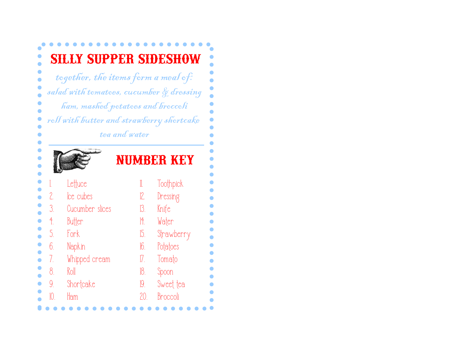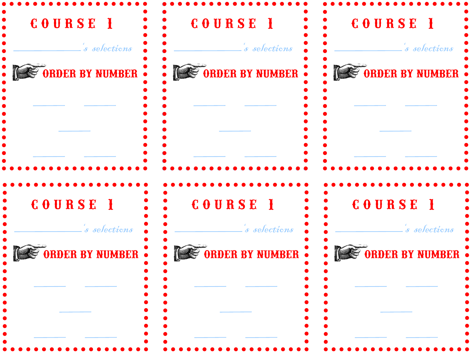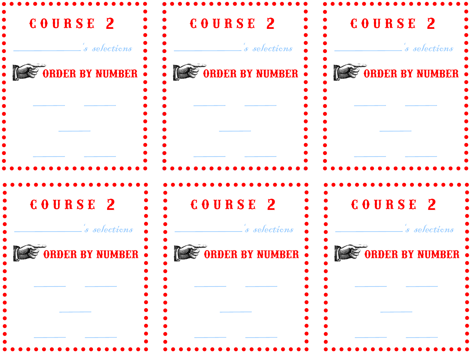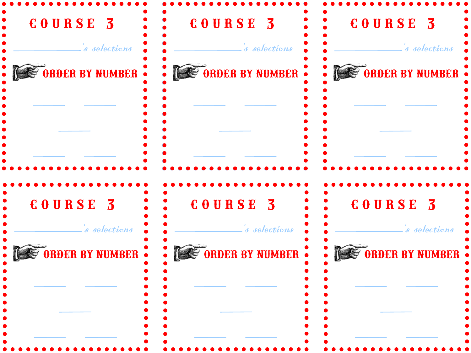